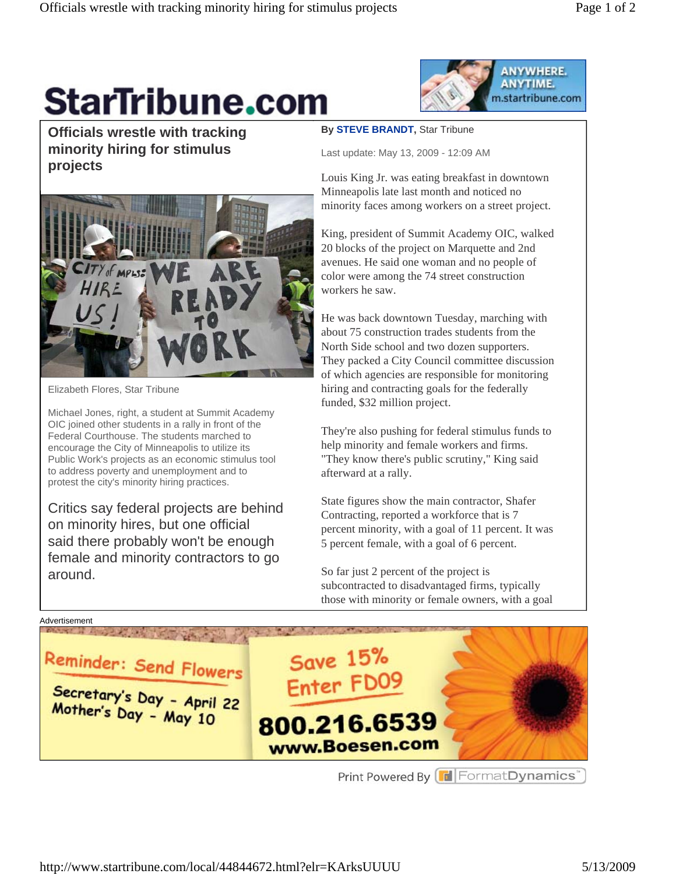## **StarTribune.com**

**ANYWHERE.** ANYTIME. m.startribune.com

**Officials wrestle with tracking minority hiring for stimulus projects** 



**By STEVE BRANDT,** Star Tribune

Last update: May 13, 2009 - 12:09 AM

Louis King Jr. was eating breakfast in downtown Minneapolis late last month and noticed no minority faces among workers on a street project.

King, president of Summit Academy OIC, walked 20 blocks of the project on Marquette and 2nd avenues. He said one woman and no people of color were among the 74 street construction workers he saw.

He was back downtown Tuesday, marching with about 75 construction trades students from the North Side school and two dozen supporters. They packed a City Council committee discussion of which agencies are responsible for monitoring hiring and contracting goals for the federally funded, \$32 million project.

They're also pushing for federal stimulus funds to help minority and female workers and firms. "They know there's public scrutiny," King said afterward at a rally.

State figures show the main contractor, Shafer Contracting, reported a workforce that is 7 percent minority, with a goal of 11 percent. It was 5 percent female, with a goal of 6 percent.

So far just 2 percent of the project is subcontracted to disadvantaged firms, typically those with minority or female owners, with a goal



Elizabeth Flores, Star Tribune

Michael Jones, right, a student at Summit Academy OIC joined other students in a rally in front of the Federal Courthouse. The students marched to encourage the City of Minneapolis to utilize its Public Work's projects as an economic stimulus tool to address poverty and unemployment and to protest the city's minority hiring practices.

Critics say federal projects are behind on minority hires, but one official said there probably won't be enough female and minority contractors to go around.